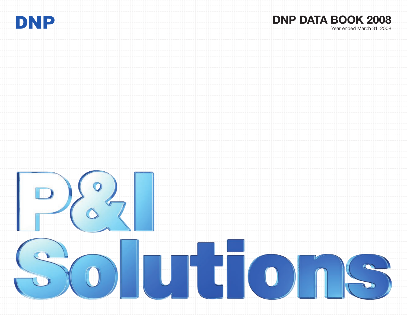

# **DNP DATA BOOK 2008**

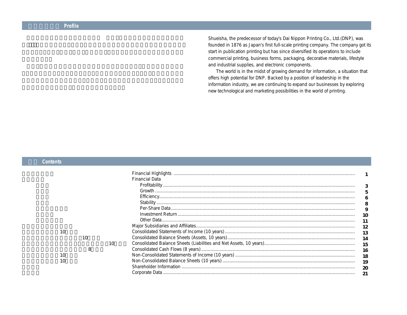Shueisha, the predecessor of today's Dai Nippon Printing Co., Ltd.(DNP), was founded in 1876 as Japan's first full-scale printing company. The company got its start in publication printing but has since diversified its operations to include commercial printing, business forms, packaging, decorative materials, lifestyle and industrial supplies, and electronic components.

The world is in the midst of growing demand for information, a situation that offers high potential for DNP. Backed by a position of leadership in the information industry, we are continuing to expand our businesses by exploring new technological and marketing possibilities in the world of printing.

#### **目次 Contents**

|    |    |    | Financial Highlights  |     |
|----|----|----|-----------------------|-----|
|    |    |    | <b>Financial Data</b> |     |
|    |    |    |                       |     |
|    |    |    | Growth                |     |
|    |    |    |                       | 6   |
|    |    |    |                       |     |
|    |    |    |                       | 9   |
|    |    |    |                       |     |
|    |    |    |                       |     |
|    |    |    |                       |     |
| 10 |    |    |                       | 13  |
|    | 10 |    |                       | 14  |
|    |    | 10 |                       | 15  |
|    | 8  |    |                       | -16 |
|    |    |    |                       | 18  |
| 10 |    |    |                       | 19  |
|    |    |    |                       |     |
|    |    |    |                       |     |
|    |    |    |                       |     |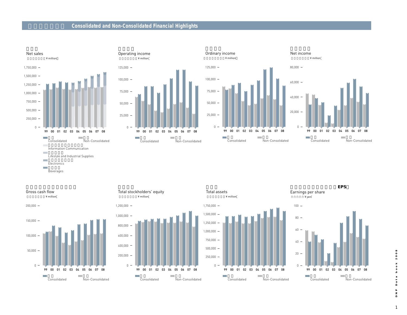## **Consolidated and Non-Consolidated Financial Highlights**









(単位:百万円/¥ million

Gross cash flow

## $\Omega$  –  $400,000 200,000 -$ 800,000  $600,000 -$ ¥ million  $1,200,000 1,000,000 -$ 99 00 01 02 03 04 05 06 07 08 Total stockholders' equity

連結 Consolidated

m.

**Tall** 





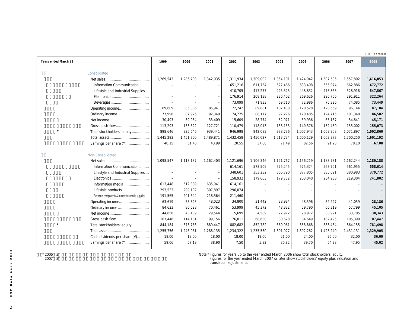(**百万円 /** ¥ million)

| Years ended March 31                               | 1999      | 2000      | 2001      | 2002      | 2003      | 2004      | 2005      | 2006      | 2007      | 2008      |
|----------------------------------------------------|-----------|-----------|-----------|-----------|-----------|-----------|-----------|-----------|-----------|-----------|
| Consolidated                                       |           |           |           |           |           |           |           |           |           |           |
| Net sales                                          | 1,269,543 | 1,286,703 | 1,342,035 | 1,311,934 | 1,309,002 | 1,354,101 | 1,424,942 | 1,507,505 | 1,557,802 | 1,616,053 |
| Information Communication                          |           |           |           | 651,216   | 611,754   | 622,466   | 633,498   | 655,974   | 662,886   | 672,772   |
| Lifestyle and Industrial Supplies                  |           |           |           | 410,705   | 417,277   | 425,523   | 448,832   | 478,368   | 528,918   | 547,567   |
|                                                    |           |           |           | 176,914   | 208,138   | 236,402   | 269,626   | 296,766   | 291,911   | 322,264   |
|                                                    |           |           |           | 73,099    | 71,833    | 69,710    | 72,986    | 76,396    | 74,085    | 73,449    |
| Operating income                                   | 69,609    | 85,886    | 85,941    | 72,242    | 89,881    | 102,438   | 120,528   | 120,669   | 96,144    | 87,104    |
| Ordinary income                                    | 77,996    | 87,976    | 92,349    | 74,775    | 88,177    | 97,276    | 120,485   | 124,715   | 101,348   | 86,502    |
|                                                    | 30,493    | 39,034    | 33,409    | 15,609    | 28,774    | 52,971    | 59,936    | 65,187    | 54,841    | 45,171    |
|                                                    | 113,293   | 133,622   | 127,721   | 110,479   | 118,013   | 138,153   | 140,376   | 152,450   | 155,002   | 155,073   |
| Total stockholders' equity                         | 898,646   | 925,646   | 939,441   | 946,998   | 942,083   | 978,736   | 1,007,943 | 1,063,308 | 1,071,897 | 1,002,860 |
|                                                    | 1,445,293 | 1,451,700 | 1,489,871 | 1,432,458 | 1,450,027 | 1,513,734 | 1,600,129 | 1,662,377 | 1,700,250 | 1,601,192 |
| Earnings per share (¥)                             | 40.15     | 51.40     | 43.99     | 20.55     | 37.80     | 71.49     | 82.56     | 91.23     | 78.10     | 67.08     |
|                                                    |           |           |           |           |           |           |           |           |           |           |
| Non-Consolidated                                   |           |           |           |           |           |           |           |           |           |           |
|                                                    | 1,098,547 | 1,113,137 | 1,162,403 | 1,121,696 | 1,106,346 | 1,121,767 | 1,156,219 | 1,183,731 | 1,162,244 | 1,180,188 |
| Information Communication                          |           |           |           | 614,161   | 573,509   | 575,245   | 575,374   | 563,701   | 561,955   | 558,614   |
| Lifestyle and Industrial Supplies                  |           |           |           | 348,601   | 353,232   | 366,790   | 377,805   | 385,091   | 380,983   | 379,772   |
|                                                    |           |           |           | 158,932   | 179,603   | 179,732   | 203,040   | 234,938   | 219,304   | 241,802   |
| Information media                                  | 613,448   | 612,389   | 635,941   | 614,161   |           |           |           |           |           |           |
| Lifestyle products                                 | 293,533   | 299,102   | 307,897   | 296,074   |           |           |           |           |           |           |
| Electronic components & Information media supplies | 191,565   | 201,644   | 218,564   | 211,460   |           |           |           |           |           |           |
| Operating income                                   | 63,619    | 55,323    | 48,023    | 34,800    | 31,442    | 38.984    | 48,596    | 52,227    | 41,059    | 28,186    |
| Ordinary income                                    | 84,623    | 80,528    | 70,461    | 53,999    | 45,372    | 48,332    | 59,790    | 66,319    | 57.799    | 45,105    |
|                                                    | 44,856    | 43,439    | 29,544    | 5,699     | 4,589     | 22,972    | 28,972    | 38,921    | 33,705    | 30,343    |
|                                                    | 107,446   | 114,181   | 99,156    | 76,011    | 68,630    | 80,628    | 84,649    | 102,495   | 105,399   | 107,447   |
| Total stockholders' equity                         | 844,184   | 873,763   | 889,447   | 882,682   | 852,782   | 860,961   | 858,868   | 883,464   | 864,155   | 781,498   |
|                                                    | 1,255,756 | 1,243,061 | 1,288,135 | 1,234,322 | 1,235,530 | 1,301,927 | 1,392,282 | 1,423,240 | 1,431,131 | 1,329,905 |
| Cash dividends per share (¥)                       | 18.00     | 18.00     | 18.00     | 18.00     | 19.00     | 21.00     | 24.00     | 26.00     | 32.00     | 36.00     |
| Earnings per share (¥)                             | 59.06     | 57.19     | 38.90     | 7.50      | 5.82      | 30.82     | 39.70     | 54.28     | 47.95     | 45.02     |
|                                                    |           |           |           |           |           |           |           |           |           |           |

 $*$  2006 3 注)\* 2007年3月期以降は、株主資本及び評価換算差額等の合計で表示しています。

Note:\*Figures for years up to the year ended March 2006 show total stockholders' equity.

Figures for the year ended March 2007 or later show stockholders' equity plus valuation and translation adjustments.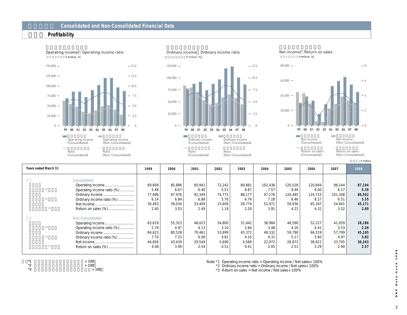### **財務データ Consolidated and Non-Consolidated Financial Data**

#### **収益性 Profitability**





(Non-Consolidated)

Net income Return on sales





当期利益連結 Net income (Consolidated)

eturn on sales (Consolidated)

(**百万円 /** ¥ million) e<br>Return on sales (Non-Consolidated)

(Non-Consolidated)

| <b>Years ended March 31</b> | 1999   | 2000   | 2001   | 2002   | 2003          | 2004    | 2005    | 2006    | 2007    | 2008   |
|-----------------------------|--------|--------|--------|--------|---------------|---------|---------|---------|---------|--------|
| Consolidated                |        |        |        |        |               |         |         |         |         |        |
|                             |        |        |        |        |               |         |         |         |         |        |
|                             | 69,609 | 85,886 | 85.941 | 72,242 | 89,881        | 102,438 | 120,528 | 120,669 | 96,144  | 87,104 |
| Operating income ratio (%)  | 5.48   | 6.67   | 6.40   | 5.51   | 6.87          | 7.57    | 8.46    | 8.00    | 6.17    | 5.39   |
| Ordinary income             | 77.996 | 87.976 | 92,349 | 74.775 | 88.177        | 97,276  | 120,485 | 124,715 | 101,348 | 86,502 |
| Ordinary income ratio (%)   | 6.14   | 6.84   | 6.88   | 5.70   | 6.74          | 7.18    | 8.46    | 8.27    | 6.51    | 5.35   |
|                             | 30.493 | 39,034 | 33.409 | 15,609 | 28,774        | 52.971  | 59,936  | 65.187  | 54,841  | 45,171 |
| Return on sales (%)         | 2.40   | 3.03   | 2.49   | 1.19   | 2.20          | 3.91    | 4.21    | 4.32    | 3.52    | 2.80   |
| Non-Consolidated            |        |        |        |        |               |         |         |         |         |        |
|                             | 63,619 | 55,323 | 48,023 | 34.800 | 31.442        | 38.984  | 48.596  | 52,227  | 41,059  | 28,186 |
| Operating income ratio (%)  | 5.79   | 4.97   | 4.13   | 3.10   | 2.84          | 3.48    | 4.20    | 4.41    | 3.53    | 2.39   |
| Ordinary income             | 84,623 | 80,528 | 70,461 | 53.999 | 45,372        | 48,332  | 59,790  | 66,319  | 57,799  | 45,105 |
| Ordinary income ratio (%)   | 7.70   | 7.23   | 6.06   | 4.81   | 4.10          | 4.31    | 5.17    | 5.60    | 4.97    | 3.82   |
|                             | 44,856 | 43,439 | 29,544 | 5.699  | 4,589         | 22,972  | 28,972  | 38,921  | 33,705  | 30,343 |
| Return on sales (%)         | 4.08   | 3.90   | 2.54   | 0.51   | $0.4^{\circ}$ | 2.05    | 2.51    | 3.29    | 2.90    | 2.57   |

(Consolidated)

 $*1$   $*100$ <br> $*2$   $*100$ 



Note: \*1 Operating income ratio = Operating income / Net sales × 100%

\*2 Ordinary income ratio = Ordinary income / Net sales× 100%

 $*3$  Return on sales = Net income / Net sales $\times$  100%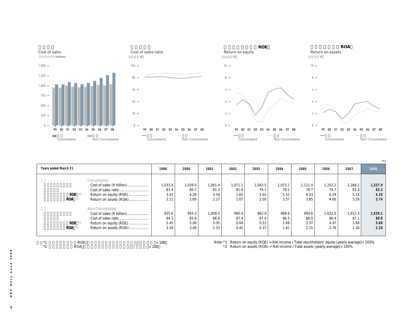

|                      |                           |              |         |         |         |                                                                                                     |         |         |         |         | (% )    |
|----------------------|---------------------------|--------------|---------|---------|---------|-----------------------------------------------------------------------------------------------------|---------|---------|---------|---------|---------|
| Years ended March 31 |                           | 1999         | 2000    | 2001    | 2002    | 2003                                                                                                | 2004    | 2005    | 2006    | 2007    | 2008    |
|                      | Consolidated              |              |         |         |         |                                                                                                     |         |         |         |         |         |
|                      | Cost of sales (¥ billion) | 1,033.9      | 1,039.0 | 1,091.4 | 1,071.1 | 1,043.5                                                                                             | 1,073.1 | 1,121.4 | 202.2   | 1,268.1 | 1,327.9 |
|                      |                           | 81.4         | 80.7    | 81.3    | 81.6    | 79.7                                                                                                | 79.2    | 78.7    | 79.7    | 81.4    | 82.2    |
| <b>ROE</b>           | Return on equity (ROE)    | 3.42         | 4.28    | 3.58    | 1.65    | 3.02                                                                                                | 5.52    | 6.03    | 6.29    | 5.14    | 4.35    |
| <b>ROA</b>           | Return on assets (ROA)    | 2.11         | 2.69    | 2.27    | 1.07    | 2.00                                                                                                | 3.57    | 3.85    | 4.00    | 3.26    | 2.74    |
|                      | Non-Consolidated          |              |         |         |         |                                                                                                     |         |         |         |         |         |
|                      | Cost of sales (¥ billion) | 925.6        | 955.3   | 1,008.5 | 980.4   | 962.9                                                                                               | 969.8   | 994.6   | 1,022.5 | 1,012.4 | 1,039.1 |
|                      |                           | 84.3         | 85.8    | 86.8    | 87.4    | 87.0                                                                                                | 86.5    | 86.0    | 86.4    | 87.1    | 88.0    |
| <b>ROE</b>           | Return on equity (ROE)    | 5.45         | 5.06    | 3.35    | 0.64    | 0.53                                                                                                | 2.68    | 3.37    | 4.47    | 3.86    | 3.69    |
| <b>ROA</b>           | Return on assets (ROA)    | 3.58         | 3.48    | 2.33    | 0.45    | 0.37                                                                                                | 1.81    | 2.15    | 2.76    | 2.36    | 2.20    |
|                      |                           |              |         |         |         |                                                                                                     |         |         |         |         |         |
|                      |                           |              |         |         |         |                                                                                                     |         |         |         |         |         |
| <b>ROE</b>           |                           | $\times$ 100 |         |         |         | Note: $*1$ Return on equity (ROE) = Net income / Total stockholders' equity (yearly average) × 100% |         |         |         |         |         |

\*2 Return on assets (ROA) = Net income / Total assets (yearly average) $\times$  100%

 $*2$  ROA  $*100$ 

4**DNP Data book 2008** a t a  $\mathsf{d}$  $\Delta$  $\overline{\phantom{a}}^{\mathtt{z}}$ 

 $\overline{4}$ 

 $2008$ 

**book**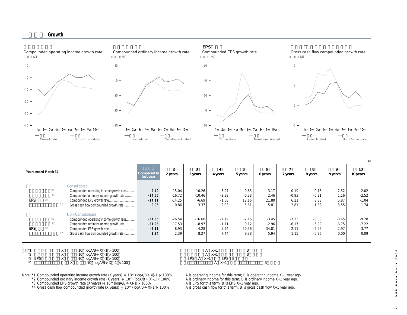#### **成長性 Growth**



(**%**)

| <b>Years ended March 31</b> |                                         | Compared to<br>last year | $\overline{2}$<br>2 years | 3<br>3 years | 4<br>4 years  | 5<br>5 years | 6<br>6 years | 7 years | 8<br>8 years | 9<br>9 years | 10<br>10 years |
|-----------------------------|-----------------------------------------|--------------------------|---------------------------|--------------|---------------|--------------|--------------|---------|--------------|--------------|----------------|
|                             | Consolidated                            |                          |                           |              |               |              |              |         |              |              |                |
|                             | Compounded operating income growth rate | $-9.40$                  | $-15.04$                  | $-10.26$     | $-3.97$       | $-0.63$      | 3.17         | 0.19    | 0.18         | 2.52         | $-2.02$        |
|                             | Compounded ordinary income growth rate  | $-14.65$                 | $-16.72$                  | $-10.46$     | $-2.89$       | $-0.38$      | 2.46         | $-0.93$ | $-0.21$      | 1.16         | $-2.52$        |
| EPS                         | Compounded EPS growth rate              | $-14.11$                 | $-14.25$                  | $-6.69$      | $-1.58$       | 12.16        | 21.80        | 6.21    | 3.38         | 5.87         | $-1.04$        |
|                             | Gross cash flow compounded growth rate  | 0.05                     | 0.86                      | 3.37         | 2.93          | 5.61         | 5.81         | 2.81    | 1.88         | 3.55         | 1.74           |
|                             | Non-Consolidated                        |                          |                           |              |               |              |              |         |              |              |                |
|                             | Compounded operating income growth rate | $-31.35$                 | $-26.54$                  | $-16.60$     | $-7.79$       | $-2.16$      | $-3.45$      | $-7.33$ | $-8.08$      | $-8.65$      | $-9.78$        |
|                             | Compounded ordinary income growth rate  | $-21.96$                 | $-17.53$                  | $-8.97$      | $-1.71$       | $-0.12$      | $-2.96$      | $-6.17$ | $-6.99$      | $-6.75$      | $-7.22$        |
| EPS                         | Compounded EPS growth rate              | $-6.11$                  | $-8.93$                   | 4.28         | 9.94          | 50.56        | 34.81        | 2.11    | $-2.95$      | $-2.97$      | $-3.77$        |
|                             | Gross cash flow compounded growth rate  | 1.94                     | 2.39                      | 8.27         | 7.44          | 9.38         | 5.94         | 1.15    | $-0.76$      | 0.00         | 0.09           |
|                             |                                         |                          |                           |              |               |              |              |         |              |              |                |
|                             | х<br>10^ $logAB \div X - 1 \times 100$  |                          |                           |              | $A \quad X+1$ | B            |              |         |              |              |                |

|          | $10$ $10$ $100$ $100$             | $\sqrt{2}$                 |  |
|----------|-----------------------------------|----------------------------|--|
|          | 10^ $logAB \div X - 1 \times 100$ |                            |  |
| $*3$ EPS | 10^ $logAB \div X - 1 \times 100$ | EPS B<br>EPS $A \times +1$ |  |

\*4  $X = \tilde{10} \cdot \log AB + X -1 \times 100$   $A \times 1 \times 100$ 

Note: \*1 Compounded operating income growth rate (X years) = 10^ (logA/B÷X)-1 × 100% A is operating income for this term; B is operating income X+1 year ago.

\*2 Compounded ordinary income growth rate (X years) = 10^ (logA/B÷X)-1 × 100% A is ordinary income for this term; B is ordinary income X+1 year ago.

\*3 Compounded EPS growth rate (X years) =  $10^\circ$  (logA/B÷X)-1 × 100% A is EPS for this term; B is EPS X+1 year ago.

\*4 Gross cash flow compounded growth rate (X years) = 10^ (logA/B÷X)-1 × 100% A is gross cash flow for this term; B is gross cash flow X+1 year ago.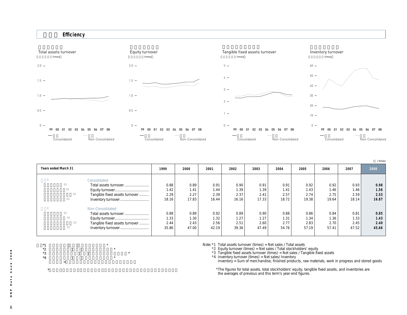



|                                |       |       |       |       |       |       |       |       |       | /times) |
|--------------------------------|-------|-------|-------|-------|-------|-------|-------|-------|-------|---------|
| Years ended March 31           | 1999  | 2000  | 2001  | 2002  | 2003  | 2004  | 2005  | 2006  | 2007  | 2008    |
| Consolidated                   |       |       |       |       |       |       |       |       |       |         |
| Total assets turnover          | 0.88  | 0.89  | 0.91  | 0.90  | 0.91  | 0.91  | 0.92  | 0.92  | 0.93  | 0.98    |
|                                | 1.42  | 1.41  | 1.44  | 1.39  | 1.39  | 1.41  | 1.43  | 1.46  | 1.46  | 1.56    |
| Tangible fixed assets turnover | 2.29  | 2.27  | 2.39  | 2.37  | 2.41  | 2.57  | 2.74  | 2.75  | 2.59  | 2.53    |
| Inventory turnover             | 18.16 | 17.83 | 16.44 | 16.16 | 17.33 | 18.72 | 19.38 | 19.64 | 18.14 | 16.87   |
| Non-Consolidated               |       |       |       |       |       |       |       |       |       |         |
| Total assets turnover          | 0.88  | 0.89  | 0.92  | 0.89  | 0.90  | 0.88  | 0.86  | 0.84  | 0.81  | 0.85    |
|                                | 1.33  | 1.30  | 1.32  | 1.27  | 1.27  | 1.31  | 1.34  | 1.36  | 1.33  | 1.43    |
| Tangible fixed assets turnover | 2.44  | 2.43  | 2.56  | 2.51  | 2.60  | 2.77  | 2.83  | 2.70  | 2.45  | 2.40    |
| Inventory turnover             | 35.86 | 47.00 | 42.19 | 39.36 | 47.49 | 54.76 | 57.19 | 57.41 | 47.52 | 45.66   |
|                                |       |       |       |       |       |       |       |       |       |         |

 $*3$  and  $*$  $*4$   $*$ 

注)\*4 棚卸資産=商品、製品、原材料、仕掛品、貯蔵品の合計

 $\mathbf x$ 

Note:\*1 Total assets turnover (times) = Net sales / Total assets

\*2 Equity turnover (times) = Net sales / Total stockholders' equity

\*3 Tangible fixed assets turnover (times) = Net sales / Tangible fixed assets

\*4 Inventory turnover (times) = Net sales/ Inventory Inventory = Sum of merchandise, finished products, raw materials, work in progress and stored goods

\*The figures for total assets, total stockholders' equity, tangible fixed assets, and inventories are the averages of previous and this term's year-end figures.

 $2008$ 6**DNP Data book 2008 book** a t a  $\mathsf{d}$  $\Delta$  $\mathbf{z}$  $\Box$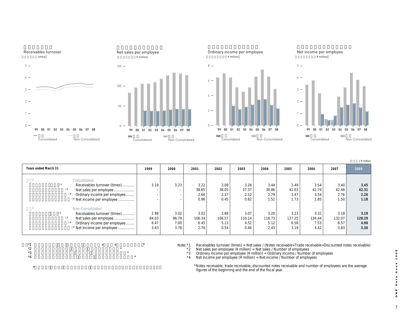



(単位:百万円/¥ million

(**百万円 /** ¥ million)

**Years ended March 31 2008** 3.49 41.03 3.47 1.73 3.23 127.25 6.58 3.19 **売上債権回転率(回)\*1 従業員一人当たり売上高 \*2 従業員一人当たり経常利益 \*3 従業員一人当たり当期純利益 \*4 売上債権回転率(回)\*1 従業員一人当たり売上高 \*2 従業員一人当たり経常利益 \*3 従業員一人当たり当期純利益 \*4** 3.19 – – – 2.98 84.03 6.47 3.43 3.23 – – – 3.02 96.79 7.00 3.78 3.22 38.65 2.66 0.96 3.02 106.34 6.45 2.70 3.09 38.05 2.17 0.45 2.88 106.57 5.13 0.54 3.28 37.37 2.52 0.82 3.07 110.14 4.52 0.46 3.44 38.86 2.79 1.52 3.20 118.73 5.12 2.43 Consolidated Receivables turnover (times) ........... Net sales per employee ................... <sup>3</sup> Ordinary income per employee........ <sup>4</sup> Net income per employee ............... Non-Consolidated Receivables turnover (times) ........... Net sales per employee ................... <sup>3</sup> Ordinary income per employee........ <sup>4</sup> Net income per employee .............. **1999 2000 2001 2002 2003 2004 2005 2006** 3.54 42.74 3.54 1.85 3.32 134.44 7.53 4.42 **2007** 3.40 42.48 2.76 1.50 3.18 132.07 6.57 3.83 **3.45 42.31 2.26 1.18 3.19 128.29 4.90 3.30**

 $*$ 1  $*$ 

 $*2$   $*$  $*3$   $*$ 

 $*4$ 

 $\star$ 

Note: \*1 Receivables turnover (times) = Net sales / (Notes receivable+Trade receivable+Discounted notes receivable)<br>\*2 Net sales per employee (¥ million) = Net sales / Number of employees

\*2 Net sales per employee (¥ million) = Net sales / Number of employees<br>\*3 Ordinary income per employee (¥ million) = Ordinary income / Number

\*3 Ordinary income per employee (¥ million) = Ordinary income / Number of employees <br>\*4 Net income per employee (¥ million) = Net income / Number of employees Note income per employee (¥ million) = Net income / Number of employees

\*Notes receivable, trade receivable, discounted notes receivable and number of employees are the average figures of the beginning and the end of the fiscal year.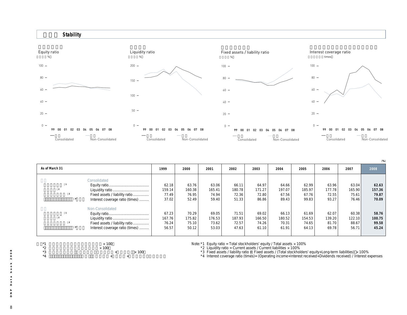

| As of March 31 |                                                                                       | 1999                              | 2000                              | 2001                              | 2002                              | 2003                              | 2004                              | 2005                              | 2006                              | 2007                              | 2008                              |
|----------------|---------------------------------------------------------------------------------------|-----------------------------------|-----------------------------------|-----------------------------------|-----------------------------------|-----------------------------------|-----------------------------------|-----------------------------------|-----------------------------------|-----------------------------------|-----------------------------------|
|                | Consolidated<br>Fixed assets / liability ratio<br>Interest coverage ratio (times)     | 62.18<br>159.14<br>77.49<br>37.02 | 63.76<br>160.38<br>76.95<br>52.49 | 63.06<br>165.41<br>74.94<br>59.40 | 66.11<br>180.78<br>72.36<br>51.33 | 64.97<br>171.27<br>72.80<br>86.86 | 64.66<br>197.07<br>67.56<br>89.43 | 62.99<br>185.97<br>67.76<br>99.83 | 63.96<br>177.78<br>72.55<br>93.27 | 63.04<br>165.90<br>75.61<br>76.46 | 62.63<br>157.36<br>79.87<br>70.09 |
|                | Non-Consolidated<br>Fixed assets / liability ratio<br>Interest coverage ratio (times) | 67.23<br>167.76<br>76.24<br>56.57 | 70.29<br>175.82<br>75.10<br>50.12 | 69.05<br>176.53<br>73.62<br>53.03 | 71.51<br>187.93<br>72.57<br>47.63 | 69.02<br>166.50<br>74.26<br>61.10 | 66.13<br>180.52<br>70.31<br>61.91 | 61.69<br>154.53<br>74.65<br>64.13 | 62.07<br>139.20<br>81.70<br>69.78 | 60.38<br>122.10<br>88.67<br>56.71 | 58.76<br>100.75<br>99.58<br>45.24 |

Note: \*1 Equity ratio = Total stockholders' equity / Total assets × 100%<br>\*2 Liquidity ratio = Current assets / Current liabilities × 100%<br>\*3 Fixed assets / ilability ratio = Fixed assets / (Total stockholders' equity+Long-

(**%**)

| $\infty$                 |
|--------------------------|
| $\circ$                  |
| $\circ$                  |
| $\sim$                   |
|                          |
| $\geq$                   |
| $\circ$                  |
| $\circ$                  |
| ء                        |
|                          |
| $\boldsymbol{\varpi}$    |
| $\overline{\phantom{0}}$ |
| $\boldsymbol{\varpi}$    |
| $\Omega$                 |
|                          |
| $\mathtt{a}$             |
| z                        |
| $\Box$                   |
|                          |
|                          |
|                          |
| 8                        |
|                          |

 $*1$ <br> $*2$ <br> $*3$ <br> $*4$ <br> $*4$ 

 $\times$  100

注)\*4 インタレスト・カバレッジ・レシオ(倍)(営業利益+受取利息+受取配当金)/支払利息

 $*$   $*$  100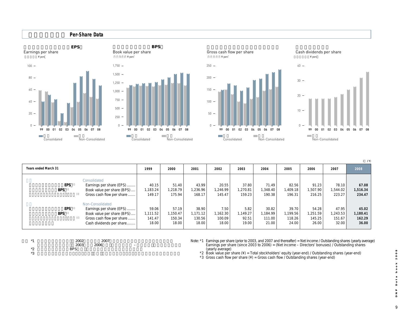

(**円 /** ¥)

| Years ended March 31     |                                                                                                                                     | 1999                                 | 2000                                 | 2001                                 | 2002                               | 2003                               | 2004                                 | 2005                                 | 2006                                 | 2007                                 | 2008                                 |
|--------------------------|-------------------------------------------------------------------------------------------------------------------------------------|--------------------------------------|--------------------------------------|--------------------------------------|------------------------------------|------------------------------------|--------------------------------------|--------------------------------------|--------------------------------------|--------------------------------------|--------------------------------------|
| <b>EPS</b><br><b>BPS</b> | Consolidated<br>Earnings per share (EPS)<br>Book value per share (BPS)<br>Gross cash flow per share                                 | 40.15<br>1,183.24<br>149.17          | 51.40<br>1,218.79<br>175.94          | 43.99<br>.236.96<br>168.17           | 20.55<br>,246.99<br>145.47         | 37.80<br>.270.81<br>159.23         | 71.49<br>1,348.40<br>190.38          | 82.56<br>1.409.18<br>196.31          | 91.23<br>1.507.90<br>216.25          | 78.10<br>1,544.02<br>223.27          | 67.08<br>1,516.34<br>234.47          |
| <b>EPS</b><br><b>BPS</b> | Non-Consolidated<br>Earnings per share (EPS)<br>Book value per share (BPS)<br>Gross cash flow per share<br>Cash dividends per share | 59.06<br>1,111.52<br>141.47<br>18.00 | 57.19<br>1.150.47<br>150.34<br>18.00 | 38.90<br>1,171.12<br>130.56<br>18.00 | 7.50<br>,162.30<br>100.09<br>18.00 | 5.82<br>1.149.27<br>92.51<br>19.00 | 30.82<br>1.184.99<br>111.00<br>21.00 | 39.70<br>1.199.56<br>118.26<br>24.00 | 54.28<br>1.251.59<br>145.25<br>26.00 | 47.95<br>1,243.53<br>151.67<br>32.00 | 45.02<br>1,180.41<br>162.29<br>36.00 |

| $*1$          | 2002       | 2007 |        |  |
|---------------|------------|------|--------|--|
|               | 2003       | 2006 | $\sim$ |  |
| $*$<br>∠<br>— | <b>BPS</b> |      |        |  |
| $*2$<br>ັ     |            |      |        |  |

| Note: *1 Earnings per share (prior to 2003, and 2007 and thereafter) = Net income / Outstanding shares (yearly average) |
|-------------------------------------------------------------------------------------------------------------------------|
| Earnings per share (since 2003 to 2006) = (Net income $-$ Directors' bonuses) / Outstanding shares                      |
| (yearly average)                                                                                                        |

\*2 Book value per share (¥) = Total stockholders' equity (year-end) / Outstanding shares (year-end)

 $*3$  Gross cash flow per share  $(4)$  = Gross cash flow / Outstanding shares (year-end)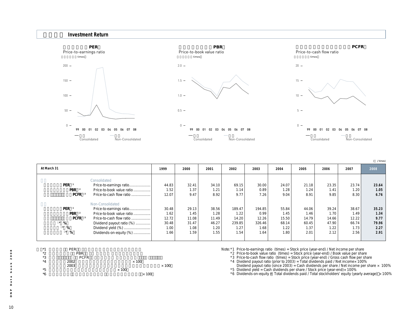

| At March 31       |                           | 1999  | 2000  | 2001  | 2002   | 2003   | 2004  | 2005  | 2006  | 2007  | 2008  |
|-------------------|---------------------------|-------|-------|-------|--------|--------|-------|-------|-------|-------|-------|
|                   | Consolidated              |       |       |       |        |        |       |       |       |       |       |
| PER <sup>1</sup>  | Price-to-earnings ratio   | 44.83 | 32.41 | 34.10 | 69.15  | 30.00  | 24.07 | 21.18 | 23.35 | 23.74 | 23.64 |
| PBR <sup>2</sup>  | Price-to-book value ratio | 1.52  | 1.37  | 1.21  | 1.14   | 0.89   | 1.28  | 1.24  | 1.41  | 1.20  | 1.05  |
| PCFR <sup>3</sup> | Price-to-cash flow ratio  | 12.07 | 9.47  | 8.92  | 9.77   | 7.26   | 9.04  | 8.91  | 9.85  | 8.30  | 6.76  |
|                   | Non-Consolidated          |       |       |       |        |        |       |       |       |       |       |
| PER <sup>1</sup>  | Price-to-earnings ratio   | 30.48 | 29.13 | 38.56 | 189.47 | 194.85 | 55.84 | 44.06 | 39.24 | 38.67 | 35.23 |
| PBR <sup>2</sup>  | Price-to-book value ratio | 1.62  | 1.45  | 1.28  | 1.22   | 0.99   | 1.45  | 1.46  | 1.70  | 1.49  | 1.34  |
| PCFR <sup>3</sup> | Price-to-cash flow ratio  | 12.72 | 11.08 | 11.49 | 14.20  | 12.26  | 15.50 | 14.79 | 14.66 | 12.22 | 9.77  |
| $4\frac{9}{6}$    | Dividend payout ratio (%) | 30.48 | 31.47 | 46.27 | 239.85 | 326.46 | 68.14 | 60.45 | 47.90 | 66.74 | 79.96 |
| $5\frac{6}{6}$    | Dividend yield (%)        | 1.00  | 1.08  | 1.20  | 1.27   | 1.68   | 1.22  | 1.37  | 1.22  | 1.73  | 2.27  |
| $6 - 96$          | Dividends-on-equity (%)   | 1.66  | 1.59  | 1.55  | 1.54   | 1.64   | 1.80  | 2.01  | 2.12  | 2.56  | 2.91  |
|                   |                           |       |       |       |        |        |       |       |       |       |       |

| $*1$    | <b>PER</b>  |              |              |
|---------|-------------|--------------|--------------|
| *2      | <b>PBR</b>  |              |              |
| *3      | <b>PCFR</b> |              |              |
| $*_{4}$ | 2002        | $\times$ 100 |              |
|         | 2003        |              | $\times$ 100 |
| *5      |             | $\times$ 100 |              |
| *6      |             | $\times$ 100 |              |

Note:\*1 Price-to-earnings ratio (times) = Stock price (year-end) / Net income per share

\*2 Price-to-book value ratio (times) = Stock price (year-end) / Book value per share

\*3 Price-to-cash flow ratio (times) = Stock price (year-end) / Gross cash flow per share<br>\*4 Dividend payout ratio (prior to 2003) = Total dividends paid / Net income× 100%

Dividend payout ratio (since 2003) = Cash dividends per share / Net income per share  $\times$  100%

\*5 Dividend yield = Cash dividends per share / Stock price (year-end)× 100%<br>\*6 Dividends-on-equity = Total dividends paid / Total stockholders' equity (yearly average) × 100%

(**倍 /** times)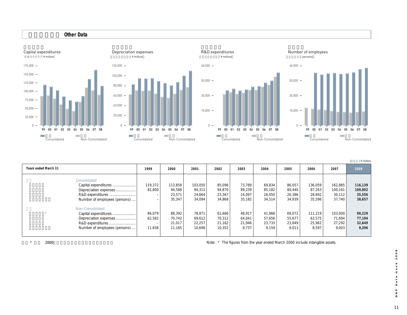#### **Other Data**









(**百万円 /** ¥ million)

| Years ended March 31          | 1999    | 2000    | 2001    | 2002   | 2003   | 2004   | 2005   | 2006    | 2007    | 2008    |
|-------------------------------|---------|---------|---------|--------|--------|--------|--------|---------|---------|---------|
| Consolidated                  |         |         |         |        |        |        |        |         |         |         |
| Capital expenditures          | 119,372 | 113,858 | 103,050 | 85.096 | 73.789 | 69,834 | 86,057 | 136.059 | 162,885 | 116,139 |
| Depreciation expenses         | 82,800  | 94,588  | 94,312  | 94,870 | 89,239 | 85,182 | 80,440 | 87,263  | 100,161 | 109,902 |
| R&D expenditures !            |         | 23,571  | 24,664  | 23,367 | 24,097 | 26,050 | 26,386 | 28,692  | 30,112  | 35,556  |
| Number of employees (persons) |         | 35,347  | 34,094  | 34,868 | 35,182 | 34,514 | 34.939 | 35,596  | 37,740  | 38,657  |
| Non-Consolidated              |         |         |         |        |        |        |        |         |         |         |
| Capital expenditures          | 86,079  | 88,392  | 78,871  | 61,666 | 48,917 | 41.968 | 69,072 | 111.219 | 103,000 | 90,229  |
| Depreciation expenses         | 62,582  | 70.742  | 69,612  | 70,312 | 64,041 | 57.656 | 55.677 | 63.575  | 71.694  | 77,104  |
| R&D expenditures              |         | 21.017  | 22,257  | 21.162 | 21.946 | 23,733 | 23,849 | 25,962  | 27,292  | 32,649  |
| Number of employees (persons) | 11,836  | 11.165  | 10.698  | 10,352 | 9.737  | 9.159  | 9.013  | 8.597   | 9.003   | 9.396   |
|                               |         |         |         |        |        |        |        |         |         |         |

\* and 2000 the 2000 and 2000 the state of the state of the state of the Vear ended March 2000 include intangible assets.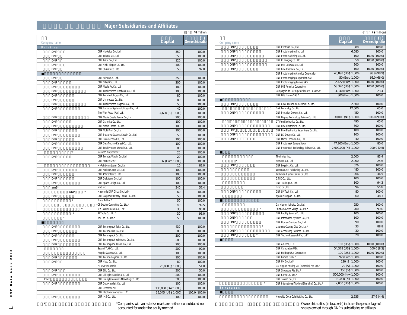## **Major Subsidiaries and Affiliates**

|                       |                                             |                     | $\land$ million) |
|-----------------------|---------------------------------------------|---------------------|------------------|
| Company name          |                                             | Capital             | Ownership ratio  |
| Printing              |                                             |                     |                  |
| <b>DNP</b>            | DNP Hokkaido Co., Ltd.                      | 350                 | 100.0            |
| <b>DNP</b>            | DNP Tohoku Co., Ltd.                        | 350                 | 100.0            |
| <b>DNP</b>            | DNP Tokai Co., Ltd                          | 120                 | 100.0            |
| <b>DNP</b>            | DNP Nishi Nippon Co., Ltd.                  | 400                 | 100.0            |
| <b>DNP</b>            | DNP Shikoku Co., Ltd.                       | 50                  | 97.0             |
| <b>DNP</b>            | DNP Seihon Co., Ltd.                        | 350                 | 100.0            |
| <b>DNP</b>            | DNP Offset Co., Ltd.                        | 200                 | 100.0            |
| <b>DNP</b>            | DNP Media Art Co., Ltd.                     | 180                 | 100.0            |
| <b>DNP</b>            | DNP Total Process Maebashi Co., Ltd.        | 100                 | 100.0            |
| <b>DNP</b>            | DNP Techtas Ichigaya Co., Ltd.              | 80                  | 100.0            |
| <b>DNP</b>            | DNP Uniprocess Co., Ltd                     | 80                  | 100.0            |
| <b>DNP</b>            | DNP Total Process Nagaoka Co., Ltd.         | 50                  | 100.0            |
| <b>DNP</b>            | DNP Butsuryu Systems Ichigaya Co., Ltd.     | 40                  | 100.0            |
|                       | Tien Wah Press (Pte.) Ltd.                  | 4,600 (S\$1,000)    | 100.0            |
| <b>DNP</b>            | DNP Media Create Kansai Co., Ltd.           | 200                 | 100.0            |
| <b>DNP</b>            | DNP Graphica Co., Ltd.                      | 100                 | 100.0            |
| <b>DNP</b>            | DNP Media Create Co., Ltd.                  | 100                 | 100.0            |
| <b>DNP</b>            | DNP Multi Print Co., Ltd.                   | 100                 | 100.0            |
| <b>DNP</b>            | DNP Butsuryu Systems Shouin Co., Ltd.       | 50                  | 100.0            |
| <b>DNP</b>            | DNP Data Techno Co., Ltd.                   | 100                 | 100.0            |
| <b>DNP</b>            | DNP Data Techno Kansai Co., Ltd.            | 100                 | 100.0            |
| <b>DNP</b>            | DNP Total Process Warabi Co., Ltd.          | 80                  | 100.0            |
| $\star$               | NexantiS Corporation*                       | 25                  | 100.0            |
| <b>DNP</b>            | DNP Techtas Warabi Co., Ltd.                | 20                  | 100.0            |
|                       | DNP France SAS*                             | 37 (Euro 1,000)     | 100.0            |
|                       | MyPoint.com Japan Co., Ltd.                 | 10                  | 83.0             |
| <b>DNP</b>            | DNP Archives.com Co., Ltd.                  | 100                 | 100.0            |
| <b>DNP</b>            | DNP AV Center Co., Ltd.                     | 100                 | 100.0            |
| <b>DNP</b>            | DNP Digitalcom Co., Ltd                     | 100                 | 100.0            |
| <b>DNP</b>            | DNP Space Design Co., Ltd.                  | 100                 | 100.0            |
| am3*                  | am3 Inc                                     | 340                 | 57.4             |
| $\star$<br><b>DNP</b> | Maison de DNP Ginza Co., Ltd.*              | 60                  | 100.0            |
| <b>DNP</b>            | DNP Corporate History Center Co., Ltd.      | 50                  | 100.0            |
| $\star$               | Trans Art Inc.*                             | 50                  | 100.0            |
|                       | *CP Design Consulting Co., Ltd.*            | 40                  | 92.5             |
| $\star$               | M's Communicate Co., Ltd.*                  | 30                  | 95.0             |
| ×                     | At Table Co., Ltd.'                         | 30                  | 95.0             |
| $\star$               | YouToo Co., Ltd.'                           | 50                  | 100.0            |
| <b>DNP</b>            | DNP Technopack Tokai Co., Ltd.              | 430                 | 100.0            |
|                       | DNP Techno Film Co., Ltd                    |                     |                  |
| <b>DNP</b>            |                                             | 380                 | 100.0            |
| <b>DNP</b>            | DNP Technopack Co., Ltd.                    | 300                 | 100.0            |
| <b>DNP</b>            | DNP Technopack Yokohama Co., Ltd.           | 280                 | 100.0            |
| <b>DNP</b>            | DNP Technopack Kansai Co., Ltd.             | 200                 | 100.0            |
|                       | Sagami Yoki Co., Ltd.                       | 200                 | 90.0             |
|                       | Aseptic Systems Co., Ltd.                   | 100                 | 100.0            |
| <b>DNP</b>            | DNP Techno Polymer Co., Ltd.                | 100                 | 100.0            |
| <b>DNP</b>            | DNP Hoso Co., Ltd.                          | 80                  | 100.0            |
|                       | PT DNP Indonesia                            | 26,000 (\$1,000)    | 51.0             |
| <b>DNP</b>            | DNP Ellio Co., Ltd.                         | 300                 | 50.0             |
| <b>DNP</b>            | DNP Lifestyle Materials Co., Ltd.           | 200                 | 100.0            |
| <b>DNP</b>            | DNP Lifestyle Materials Marketing Co., Ltd. | 300                 | 100.0            |
| <b>DNP</b>            | DNP OptoMaterials Co., Ltd.                 | 100                 | 100.0            |
|                       | DNP Denmark A/S                             | 135,000 (Dkr 1,000) | 100.0            |
|                       | DNP Electronics America, LLC                | 15,045 (US\$ 1,000) | 100.0 (100.0)    |
| <b>DNP</b>            | DNP IMS Co., Ltd.                           | 100                 | 100.0            |

|                       |                                                              |                        | $\left($<br>/\ million) |
|-----------------------|--------------------------------------------------------------|------------------------|-------------------------|
| Company name          |                                                              | Capital                | Ownership ratio         |
| <b>DNP</b>            | DNP Printrush Co., Ltd.                                      | 300                    | 100.0                   |
| <b>DNP</b>            | DNP Photo Imaging Co., Ltd.                                  | 6,080                  | 100.0                   |
| <b>DNP</b>            | DNP Photo Marketing Co., Ltd.                                | 100                    | 100.0 (100.0)           |
| <b>DNP</b>            | DNP ID Imaging Co., Ltd.                                     | 50                     | 100.0 (100.0)           |
| <b>DNP</b>            | DNP IMS Odawara Co., Ltd.                                    | 300                    | 100.0                   |
| <b>DNP</b>            | DNP Fine Chemical Co., Ltd.                                  | 100                    | 100.0 (100.0)           |
|                       | DNP Photo Imaging America Corporation                        | 45,898 (US\$ 1,000)    | 98.9 (98.9)             |
|                       | DNP Photo Imaging Corporation SAS                            | 50 (E uro 1,000)       | 66.0 (66.0)             |
|                       | DNP Photo Imaging Europe SAS                                 | 2,422 (E uro 1,000)    | 100.0 (100.0)           |
|                       | DNP IMS America Corporation                                  | 53.320 (US\$ 1,000)    | 100.0 (100.0)           |
|                       | Compagnie de Découpe de l'Ouest - CDO SAS                    | 3,040 (E uro 1,000)    | 23.4                    |
|                       | DNP IMS France SAS *                                         | 300 (E uro 1,000)      | 100.0                   |
|                       |                                                              |                        |                         |
| <b>DNP</b>            | DNP Color Techno Kameyama Co., Ltd.                          | 2,500                  | 100.0                   |
|                       | DAP Technolgy Co., Ltd.                                      | 12,000                 | 65.0                    |
| <b>DNP</b>            | DNP Precision Devices Co., Ltd.                              | 450                    | 100.0                   |
|                       | DNP Display Technology Taiwan Co., Ltd.                      | 30,000 (NT\$ 1,000)    | 100.0 (99.0)            |
|                       | DT Fine Electronics Co., Ltd.                                | 490                    | 65.0                    |
| <b>DNP</b>            | DNP Fine Electronics Co., Ltd.                               | 300                    | 100.0                   |
| <b>DNP</b>            | DNP Fine Electronics Sagamihara Co., Ltd.                    | 100                    | 100.0                   |
| <b>DNP</b>            | DNP LSI Design Co., Ltd.                                     | 100                    | 100.0                   |
| <b>DNP</b>            | DNP Micro Technica Co., Ltd.                                 | 40                     | 100.0                   |
|                       | DNP Photomask Europe S.p.A.                                  | 47, 200 (E uro 1, 000) | 80.6                    |
|                       | DNP Photomask Technology Taiwan Co., Ltd                     | 2,900,000 (NT 1,000)   | 100.0(0.5)              |
|                       |                                                              |                        |                         |
|                       | The Inctec Inc.                                              | 2,000                  | 83.4                    |
| $\star$               | Maruzen Co., Ltd.                                            | 2,000                  | 25.6                    |
| <b>DNP</b>            |                                                              | 626                    | 100.0                   |
|                       | DNP Logistics Co., Ltd.<br>Waseda Keiei Publishing Co., Ltd. | 480                    | 100.0                   |
|                       |                                                              | 266                    | 46.5                    |
|                       | Toshokan Ryutsu Center Co., Ltd.                             | 100                    | 100.0                   |
|                       | D.N.K Co., Ltd.                                              | 100                    | 94.3                    |
|                       | DNP Trading Co., Ltd.                                        | 96                     | 55.0                    |
|                       | Direc Co., Ltd.                                              |                        |                         |
| <b>DNP</b>            | DNP SP Tech Co., Ltd.                                        | 80                     | 100.0                   |
|                       | Kyoiku Shuppan Co., Ltd.                                     | 60                     | 48.3                    |
|                       |                                                              |                        |                         |
|                       | Dai Nippon Kaihatsu Co., Ltd.<br>$^\star$                    | 250                    | 100.0                   |
|                       | Shiobara Green Village Co., Ltd.*                            | 200                    | 99.6                    |
| <b>DNP</b>            | DNP Facility Service Co., Ltd.                               | 100                    | 100.0                   |
| <b>DNP</b>            | DNP Information Systems Co., Ltd.                            | 100                    | 100.0                   |
| <b>DNP</b>            | DNP Human Services Co., Ltd.                                 | 90                     | 100.0                   |
|                       | $\star$<br>Uzumine Country Club Co., Ltd.*                   | 33                     | 88.8                    |
| <b>DNP</b>            | DNP Accounting Services Co., Ltd.                            | 30                     | 100.0                   |
| <b>DNP</b><br>$\star$ | DNP Techno Research Co., Ltd.'                               | 20                     | 100.0                   |
|                       |                                                              |                        |                         |
|                       | DNP America, LLC                                             | 100 (US\$ 1,000)       | 100.0 (100.0)           |
|                       | DNP Corporation USA                                          | 54,378 (US\$ 1,000)    | 100.0(8.2)              |
|                       | DNP Holding USA Corporation                                  | 100 (US\$ 1,000)       | 100.0 (100.0)           |
|                       | DNP Europa GmbH*                                             | 92 (E uro 1,000)       | 100.0                   |
|                       | DNP UK Co., Ltd.*                                            | 120 (£ 1,000)          | 100.0                   |
|                       | Dai Nippon Printing Co. (Australia) Pty. Ltd.*               | 70 (A\$ 1,000)         | 100.0                   |
|                       | DNP Singapore Pte. Ltd.*                                     | 350 (S\$ 1,000)        | 100.0                   |
|                       | DNP Korea Co., Ltd.'                                         | 500,000 (Krw 1,000)    | 100.0                   |
|                       | DNP Taiwan Co., Ltd.                                         | 10,000 (NT 1,000)      | 100.0                   |
|                       | DNP International Trading (Shanghai) Co., Ltd.*              | 2,000 (US\$ 1,000)     | 100.0                   |
| Beverages             |                                                              |                        |                         |
|                       |                                                              |                        |                         |
|                       | Hokkaido Coca-Cola Bottling Co., Ltd.                        | 2.935                  | 57.6(4.4)               |
|                       |                                                              |                        |                         |

Ownership ratios (in brackets) indicate the percentage of<br>shares owned through DNP's subsidiaries or affiliates.

注)\*は連結対象外、持分法非適用関連会社です。 \*Companies with an asterisk mark are neither consolidated nor accounted for under the equity method.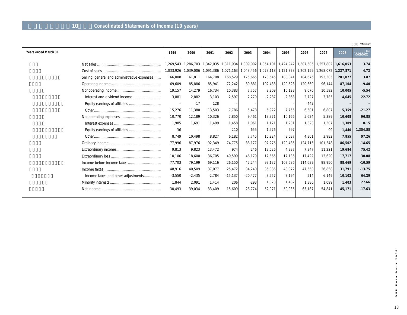## **連結損益計算書(10年間)Consolidated Statements of Income (10 years)**

|                      |                                              |           |                     |          |                       |                                         |           |           |             |                       |           | /\ million)      |
|----------------------|----------------------------------------------|-----------|---------------------|----------|-----------------------|-----------------------------------------|-----------|-----------|-------------|-----------------------|-----------|------------------|
| Years ended March 31 |                                              | 1999      | 2000                | 2001     | 2002                  | 2003                                    | 2004      | 2005      | 2006        | 2007                  | 2008      | %<br>(2008/2007) |
|                      |                                              |           | 1,269,543 1,286,703 |          | 1,342,035   1,311,934 | 1,309,002                               | 1,354,101 | 1,424,942 |             | 1,507,505   1,557,802 | 1,616,053 | 3.74             |
|                      |                                              | 1,033,926 | 1,039,006           |          |                       | 1,091,386 1,071,163 1,043,456 1,073,118 |           | 1,121,373 | 1,202,159 1 | .268.072              | 1,327,871 | 4.72             |
|                      | Selling, general and administrative expenses | 166,008   | 161,811             | 164,708  | 168,529               | 175,665                                 | 178,545   | 183,041   | 184,676     | 193,585               | 201,077   | 3.87             |
|                      |                                              | 69,609    | 85,886              | 85,941   | 72,242                | 89,881                                  | 102,438   | 120,528   | 120,669     | 96,144                | 87,104    | $-9.40$          |
|                      |                                              | 19,157    | 14,279              | 16,734   | 10,383                | 7.757                                   | 8,209     | 10,123    | 9,670       | 10,592                | 10,005    | $-5.54$          |
|                      | Interest and dividend income                 | 3,881     | 2,882               | 3,103    | 2,597                 | 2,279                                   | 2,287     | 2,368     | 2.727       | 3.785                 | 4.645     | 22.72            |
|                      |                                              |           |                     | 128      |                       |                                         |           |           | 442         |                       |           | $\overline{a}$   |
|                      |                                              | 15,276    | 11,380              | 13,503   | 7.786                 | 5.478                                   | 5.922     | 7,755     | 6,501       | 6,807                 | 5,359     | $-21.27$         |
|                      |                                              | 10.770    | 12,189              | 10,326   | 7.850                 | 9.461                                   | 13.371    | 10.166    | 5,624       | 5,389                 | 10,608    | 96.85            |
|                      |                                              | 1,985     | 1.691               | 1.499    | 1.458                 | 1.061                                   | 1.171     | 1,231     | 1,323       | 1,307                 | 1,309     | 0.15             |
|                      |                                              | 36        |                     |          | 210                   | 655                                     | 1.976     | 297       |             | 99                    | 1,440     | 1,354.55         |
|                      |                                              | 8.749     | 10,498              | 8.827    | 6.182                 | 7,745                                   | 10,224    | 8,637     | 4.301       | 3.982                 | 7.855     | 97.26            |
|                      |                                              | 77,996    | 87,976              | 92,349   | 74,775                | 88,177                                  | 97,276    | 120,485   | 124.715     | 101,348               | 86,502    | $-14.65$         |
|                      |                                              | 9,813     | 9,823               | 13,472   | 974                   | 246                                     | 13,526    | 4,337     | 7,347       | 11,221                | 19.684    | 75.42            |
|                      |                                              | 10,106    | 18,600              | 36,705   | 49,599                | 46,179                                  | 17,665    | 17,136    | 17,422      | 13,620                | 17,717    | 30.08            |
|                      |                                              | 77,703    | 79,199              | 69,116   | 26,150                | 42,244                                  | 93,137    | 107,686   | 114,639     | 98,950                | 88,469    | $-10.59$         |
|                      |                                              | 48,916    | 40,509              | 37,077   | 25,472                | 34,240                                  | 35,086    | 43,072    | 47,550      | 36,858                | 31,791    | $-13.75$         |
|                      | Income taxes and other adjustments           | $-3,550$  | $-2,435$            | $-2,784$ | $-15,137$             | $-20,477$                               | 3,257     | 3.194     | 514         | 6.149                 | 10,102    | 64.29            |
|                      |                                              | 1,844     | 2,091               | 1,414    | 206                   | $-293$                                  | 1,823     | 1,482     | 1,386       | 1.099                 | 1,403     | 27.66            |
|                      |                                              | 30,493    | 39,034              | 33,409   | 15,609                | 28,774                                  | 52,971    | 59,936    | 65,187      | 54,841                | 45,171    | $-17.63$         |
|                      |                                              |           |                     |          |                       |                                         |           |           |             |                       |           |                  |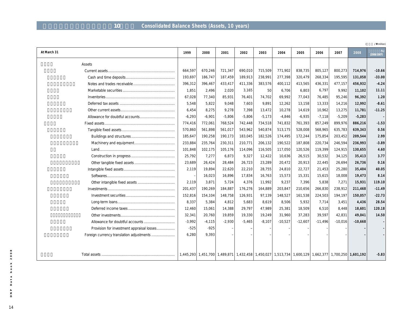## **連結貸借対照表(資産の部、10年間) Consolidated Balance Sheets (Assets, 10 years)**

|                                           |          |                                                                                                     |          |          |          |           |           |           |           |           | /\ million)      |
|-------------------------------------------|----------|-----------------------------------------------------------------------------------------------------|----------|----------|----------|-----------|-----------|-----------|-----------|-----------|------------------|
| At March 31                               | 1999     | 2000                                                                                                | 2001     | 2002     | 2003     | 2004      | 2005      | 2006      | 2007      | 2008      | %<br>(2008/2007) |
| Assets                                    |          |                                                                                                     |          |          |          |           |           |           |           |           |                  |
|                                           | 664,597  | 670,246                                                                                             | 721,347  | 690,010  | 715,509  | 771,902   | 838,735   | 805,127   | 800,273   | 714,976   | $-10.66$         |
|                                           | 193,697  | 186,747                                                                                             | 187,459  | 189,913  | 238,991  | 277,398   | 320,479   | 268,334   | 195,595   | 131,058   | $-33.00$         |
|                                           | 396,312  | 396,467                                                                                             | 433,417  | 411,336  | 383,576  | 400,112   | 413,565   | 436,331   | 477,157   | 456,932   | $-4.24$          |
|                                           | 1,851    | 2,496                                                                                               | 2,020    | 3,165    | 50       | 6,706     | 6,803     | 6,797     | 9,992     | 11,102    | 11.11            |
|                                           | 67,028   | 77,340                                                                                              | 85,931   | 76,401   | 74,702   | 69,992    | 77,043    | 76,485    | 95,246    | 96,392    | 1.20             |
|                                           | 5,548    | 5,822                                                                                               | 9,048    | 7,603    | 9,891    | 12,262    | 13,158    | 13,333    | 14,216    | 12,992    | $-8.61$          |
|                                           | 6,454    | 8,275                                                                                               | 9,278    | 7,398    | 13,472   | 10,278    | 14,619    | 10,962    | 13,275    | 11,781    | $-11.25$         |
|                                           | $-6,293$ | $-6,901$                                                                                            | $-5,806$ | $-5,806$ | $-5,173$ | $-4,846$  | $-6,935$  | $-7,118$  | $-5,209$  | $-5,283$  |                  |
|                                           | 774,416  | 772,061                                                                                             | 768,524  | 742,448  | 734,518  | 741,832   | 761,393   | 857,249   | 899,976   | 886,216   | $-1.53$          |
|                                           | 570,860  | 561,898                                                                                             | 561,017  | 543,962  | 540,874  | 513,175   | 528,008   | 568,965   | 635,783   | 639,343   | 0.56             |
|                                           | 185,647  | 190,258                                                                                             | 190,173  | 183,045  | 182,526  | 174,495   | 172,244   | 175,854   | 203,452   | 209,544   | 2.99             |
|                                           | 233,884  | 235,764                                                                                             | 230,311  | 210,771  | 206,132  | 190,522   | 187,808   | 220,734   | 246,594   | 236,993   | $-3.89$          |
|                                           | 101,848  | 102,175                                                                                             | 105,176  | 114,096  | 116,505  | 117,050   | 120,526   | 119,399   | 124,915   | 130,655   | 4.60             |
|                                           | 25,792   | 7,277                                                                                               | 6,873    | 9,327    | 12,422   | 10,636    | 26,515    | 30,532    | 34,125    | 35,413    | 3.77             |
|                                           | 23,689   | 26,424                                                                                              | 28,484   | 26,723   | 23,289   | 20,472    | 20,913    | 22,445    | 26,694    | 26,736    | 0.16             |
|                                           | 2,119    | 19,894                                                                                              | 22,620   | 22,210   | 28,755   | 24,810    | 22,727    | 21,453    | 25,280    | 35,404    | 40.05            |
|                                           |          | 16,023                                                                                              | 16,896   | 17,834   | 16,763   | 15,573    | 15,331    | 15,615    | 18,008    | 19,473    | 8.14             |
|                                           | 2,119    | 3,871                                                                                               | 5,724    | 4,376    | 11,992   | 9,237     | 7,396     | 5,838     | 7,271     | 15,931    | 119.10           |
|                                           | 201,437  | 190,269                                                                                             | 184,887  | 176,276  | 164,889  | 203,847   | 210,656   | 266,830   | 238,912   | 211,468   | $-11.49$         |
|                                           | 152,816  | 154,104                                                                                             | 148,758  | 126,931  | 97,139   | 148,527   | 161,538   | 224,503   | 194,197   | 150,057   | $-22.73$         |
|                                           | 8,337    | 5,384                                                                                               | 4,812    | 5,683    | 8,619    | 8,506     | 5,932     | 7,714     | 3,451     | 4,436     | 28.54            |
|                                           | 12,460   | 15,061                                                                                              | 14,388   | 29,797   | 47,989   | 25,381    | 18,509    | 6,510     | 8,448     | 18,601    | 120.18           |
|                                           | 32,341   | 20,760                                                                                              | 19,859   | 19,330   | 19,249   | 31,960    | 37,283    | 39,597    | 42,831    | 49,041    | 14.50            |
|                                           | $-3,992$ | $-4,115$                                                                                            | $-2,930$ | $-5,465$ | $-8,107$ | $-10,527$ | $-12,607$ | $-11,496$ | $-10,016$ | $-10,668$ |                  |
| Provision for investment appraisal losses | $-525$   | $-925$                                                                                              |          |          |          |           |           |           |           |           |                  |
| Foreign currency translation adjustments  | 6,280    | 9,393                                                                                               |          |          |          |           |           |           |           |           |                  |
|                                           |          |                                                                                                     |          |          |          |           |           |           |           |           |                  |
|                                           |          |                                                                                                     |          |          |          |           |           |           |           |           |                  |
|                                           |          | 1,445,293 1,451,700 1,489,871 1,432,458 1,450,027 1,513,734 1,600,129 1,662,377 1,700,250 1,601,192 |          |          |          |           |           |           |           |           | $-5.83$          |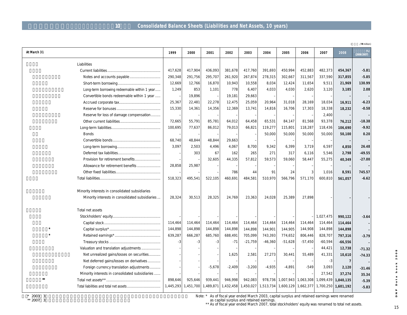## **10 Consolidated Balance Sheets (Liabilities and Net Assets, 10 years)**

|                                                 |           |           |           |           |           |           |           |                               |           |                     | /\ million) |
|-------------------------------------------------|-----------|-----------|-----------|-----------|-----------|-----------|-----------|-------------------------------|-----------|---------------------|-------------|
| At March 31                                     | 1999      | 2000      | 2001      | 2002      | 2003      | 2004      | 2005      | 2006                          | 2007      | 2008                | (2008/2007) |
| Liabilities                                     |           |           |           |           |           |           |           |                               |           |                     |             |
|                                                 | 417,628   | 417,904   | 436,093   | 381,678   | 417,760   | 391,693   | 450,994   | 452,883                       | 482,373   | 454,367             | $-5.81$     |
| Notes and accounts payable                      | 290,348   | 291,756   | 295,707   | 261,920   | 267,874   | 278,315   | 302,667   | 311,567                       | 337,590   | 317,855             | $-5.85$     |
|                                                 | 12,669    | 12,766    | 16,870    | 10,943    | 10,558    | 8,034     | 12,424    | 11,654                        | 9,511     | 21,969              | 130.99      |
| Long-term borrowing redeemable within 1 year    | 1,249     | 853       | 1,101     | 778       | 6,407     | 4,033     | 4,030     | 2,620                         | 3,120     | 3,185               | 2.08        |
| Convertible bonds redeemable within 1 year      |           | 19,896    |           | 19,181    | 29,663    |           |           |                               |           |                     |             |
|                                                 | 25,367    | 22,481    | 22,278    | 12,475    | 25,059    | 20,964    | 31,018    | 28,169                        | 18,034    | 16,911              | $-6.23$     |
|                                                 | 15,330    | 14,361    | 14,356    | 12,369    | 13,741    | 14,816    | 16,706    | 17,303                        | 18,338    | 18,232              | $-0.58$     |
| Reserve for loss of damage compensation         |           |           |           |           |           |           |           |                               | 2,400     |                     |             |
|                                                 | 72,665    | 55,791    | 85,781    | 64,012    | 64,458    | 65,531    | 84,147    | 81,568                        | 93,378    | 76,212              | $-18.38$    |
|                                                 | 100,695   | 77,637    | 86,012    | 79,013    | 66,821    | 119,277   | 115,801   | 118,287                       | 118,436   | 106,690             | $-9.92$     |
| <b>Bonds</b>                                    |           |           |           |           |           | 50,000    | 50,000    | 50,000                        | 50,000    | 50,100              | 0.20        |
|                                                 | 68,740    | 48,844    | 48,844    | 29,663    |           |           |           |                               |           |                     |             |
|                                                 | 3,097     | 2,503     | 4,496     | 4,067     | 8,700     | 9,342     | 6,399     | 3,719                         | 6,597     | 4,850               | 26.48       |
|                                                 |           | 303       | 67        | 162       | 265       | 271       | 317       | 6,116                         | 5,546     | 2,798               | $-49.55$    |
| Provision for retirement benefits               |           |           | 32,605    | 44,335    | 57,812    | 59,573    | 59,060    | 58,447                        | 55,275    | 40,349              | $-27.00$    |
| Allowance for retirement benefits               | 28,858    | 25,987    |           |           |           |           |           |                               |           |                     |             |
|                                                 |           |           |           | 786       | 44        | 91        | 24        | 3                             | 1,016     | 8,591               | 745.57      |
|                                                 | 518,323   | 495,541   | 522,105   | 460,691   | 484,581   | 510,970   | 566,796   | 571,170                       | 600,810   | 561,057             | $-6.62$     |
|                                                 |           |           |           |           |           |           |           |                               |           |                     |             |
| Minority interests in consolidated subsidiaries |           |           |           |           |           |           |           |                               |           |                     |             |
| Minority interests in consolidated subsidiaries | 28,324    | 30,513    | 28,325    | 24,769    | 23,363    | 24,028    | 25,389    | 27,898                        |           |                     |             |
| Total net assets                                |           |           |           |           |           |           |           |                               |           |                     |             |
|                                                 |           |           |           |           |           |           |           |                               | 1,027,475 | 990,122             | $-3.64$     |
|                                                 | 114,464   | 114,464   | 114,464   | 114,464   | 114,464   | 114,464   | 114,464   | 114,464                       | 114,464   | 114,464             |             |
|                                                 | 144,898   | 144,898   | 144,898   | 144,898   | 144,898   | 144,901   | 144,905   | 144,908                       | 144,898   | 144,898             |             |
|                                                 | 639,287   | 666,287   | 685,760   | 688,491   | 705,099   | 743,393   | 774,652   | 806,446                       | 828,707   | 797,316             | $-3.79$     |
|                                                 | $-3$      | -3        | $-3$      | $-71$     | $-21,759$ | $-46,360$ | $-51,628$ | $-57,450$                     | $-60,594$ | $-66,556$           |             |
| Valuation and translation adjustments           |           |           |           |           |           |           |           |                               | 44,421    | 12,738              | $-71.32$    |
| Net unrealized gains/losses on securities       |           |           |           | 1,625     | 2,581     | 27,273    | 30,441    | 55,489                        | 41,331    | 10,610              | $-74.33$    |
| Net deferred gains/losses on derivatives        |           |           |           |           |           |           |           |                               | -3        | $\overline{7}$      |             |
| Foreign currency translation adjustments        |           |           | $-5,678$  | $-2,409$  | $-3,200$  | $-4.935$  | $-4.891$  | $-549$                        | 3,093     | 2,120               | $-31.46$    |
| Minority interests in consolidated subsidiaries |           |           |           |           |           |           |           |                               | 27,542    | 37,274              | 35.34       |
| $+$                                             | 898,646   | 925,646   | 939,441   | 946,998   | 942,083   | 978,736   |           | 1,007,943 1,063,308           | 1,099,439 | 1,040,135           | $-5.39$     |
|                                                 | 1,445,293 | 1,451,700 | 1,489,871 | 1,432,458 | 1,450,027 |           |           | 1,513,734 1,600,129 1,662,377 |           | 1,700,250 1,601,192 | $-5.83$     |
|                                                 |           |           |           |           |           |           |           |                               |           |                     |             |

Data book 2008 D N P

Note: \* As of fiscal year ended March 2003, capital surplus and retained earnings were renamed

as capital surplus and retained earnings.

\*\* As of fiscal year ended March 2007, total stockholders' equity was renamed to total net assets.

15**DNP Data book 2008** 15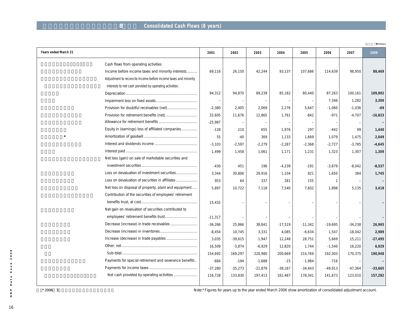## **a Example 26 Separated Cash Flows (8 years)**

| Years ended March 31                                            | 2001      | 2002                     | 2003      | 2004      | 2005      | 2006         | 2007      | 2008      |
|-----------------------------------------------------------------|-----------|--------------------------|-----------|-----------|-----------|--------------|-----------|-----------|
| Cash flows from operating activities                            |           |                          |           |           |           |              |           |           |
| Income before income taxes and minority interests               | 69,116    | 26,150                   | 42,244    | 93,137    | 107,686   | 114,639      | 98,950    | 88,469    |
| Adjustment to reconcile income before income taxes and minority |           |                          |           |           |           |              |           |           |
| interests to net cash porvided by operating activities:         |           |                          |           |           |           |              |           |           |
|                                                                 | 94,312    | 94,870                   | 89,239    | 85,182    | 80,440    | 87,263       | 100,161   | 109,902   |
|                                                                 |           |                          |           |           |           | 7,346        | 1,282     | 3,300     |
|                                                                 | $-2,380$  | 2,405                    | 2,069     | 2,276     | 5,647     | $-1,060$     | $-1,036$  | $-69$     |
|                                                                 | 32,605    | 11,676                   | 12,865    | 1,761     | $-842$    | $-971$       | $-4,707$  | $-16,823$ |
|                                                                 | $-25,987$ | $\overline{\phantom{0}}$ |           |           |           |              |           |           |
| Equity in (earnings) loss of affiliated companies               | $-128$    | 210                      | 655       | 1,976     | 297       | $-442$       | 99        | 1,440     |
|                                                                 | 55        | $-40$                    | 369       | 1,133     | 1,669     | 1,079        | 1,475     | 2,049     |
|                                                                 | $-3,103$  | $-2,597$                 | $-2,279$  | $-2,287$  | $-2,368$  | $-2,727$     | $-3,785$  | $-4,645$  |
|                                                                 | 1,499     | 1,458                    | 1,061     | 1,171     | 1,231     | 1,323        | 1,307     | 1,309     |
| Net loss (gain) on sale of marketable securities and            |           |                          |           |           |           |              |           |           |
|                                                                 | $-430$    | 451                      | 196       | $-4,239$  | $-191$    | $-3,679$     | $-8,042$  | $-8,537$  |
| Loss on devaluation of investment securities                    | 3,344     | 30,806                   | 29,916    | 1,104     | 921       | 1,650        | 384       | 1,745     |
| Loss on devaluation of securities in affiliates                 | 953       | 64                       | 337       | 281       | 155       | $\mathbf{1}$ |           |           |
| Net loss on disposal of property, plant and equipment           | 5,897     | 10,722                   | 7,118     | 7,540     | 7,602     | 1,898        | 5,135     | 3,418     |
| Contribution of the securities of employees' retirement         |           |                          |           |           |           |              |           |           |
|                                                                 | 15,432    |                          |           |           |           |              |           |           |
| Net gain on revaluation of securities contributed to            |           |                          |           |           |           |              |           |           |
|                                                                 | $-11,317$ |                          |           |           |           |              |           |           |
|                                                                 | $-36,266$ | 25,866                   | 38,841    | $-17,519$ | $-11,342$ | $-19,695$    | $-34,238$ | 26,965    |
|                                                                 | $-8,454$  | 10,745                   | 3,331     | 4,085     | $-6,634$  | 1,547        | $-18,042$ | 2,989     |
|                                                                 | 3,035     | $-39,615$                | 1,947     | 12,248    | 28,751    | 5,669        | 15,211    | $-27,495$ |
|                                                                 | 16,509    | $-3,874$                 | $-6,929$  | 12,820    | 1,744     | $-1,540$     | 16,220    | 6,929     |
|                                                                 | 154,692   | 169,297                  | 220,980   | 200,669   | 214,769   | 192,303      | 170,375   | 190,948   |
| Payments for special retirement and severance benefits          | $-684$    | $-194$                   | $-1,688$  | $-15$     | $-1,984$  | $-716$       |           |           |
|                                                                 | $-37,280$ | $-35,273$                | $-21,879$ | $-39,167$ | $-34,443$ | $-49,913$    | $-47,364$ | $-33,665$ |
|                                                                 | 116,728   | 133,830                  | 197,413   | 161,487   | 178,341   | 141,673      | 123,010   | 157,282   |
|                                                                 |           |                          |           |           |           |              |           |           |

\* 2006 3 3 COM 3 and the years up to the year ended March 2006 show amortization of consolidated adjustment account.

(**百万円 / ¥** million)

D N P

Data book 2008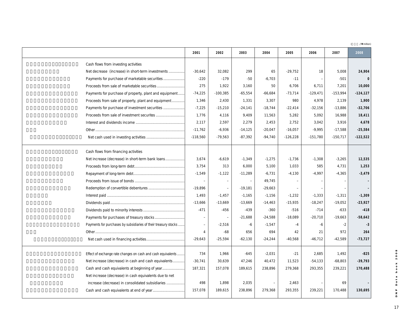(**百万円 / ¥** million)

|                                                                 | 2001                     | 2002                     | 2003      | 2004      | 2005       | 2006       | 2007       | 2008        |
|-----------------------------------------------------------------|--------------------------|--------------------------|-----------|-----------|------------|------------|------------|-------------|
| Cash flows from investing activities                            |                          |                          |           |           |            |            |            |             |
| Net decrease (increase) in short-term investments               | $-30,642$                | 32,082                   | 299       | 65        | $-29,752$  | 18         | 5,008      | 24,904      |
| Payments for purchase of marketable securities                  | $-220$                   | $-179$                   | $-50$     | $-6,703$  | $-11$      |            | $-501$     |             |
|                                                                 | 275                      | 1,922                    | 3,160     | 50        | 6,706      | 6,711      | 7,201      | 10,000      |
| Payments for purchase of property, plant and equipment          | $-74,225$                | $-100,385$               | $-65,554$ | $-66,684$ | $-73,714$  | $-129,471$ | $-153,994$ | $-124, 127$ |
| Proceeds from sale of property, plant and equipment             | 1,346                    | 2,430                    | 1,331     | 3,307     | 980        | 4,978      | 2,139      | 1,900       |
| Payments for purchase of investment securities                  | $-7,225$                 | $-15,210$                | $-24,141$ | $-18,744$ | $-22,414$  | $-32,156$  | $-13,886$  | $-32,706$   |
|                                                                 | 1,776                    | 4,116                    | 9,409     | 11,563    | 5,282      | 5,092      | 16,988     | 18,411      |
|                                                                 | 2,117                    | 2,597                    | 2,279     | 2,453     | 2,752      | 3,042      | 3,916      | 4,678       |
|                                                                 | $-11,762$                | $-6,936$                 | $-14,125$ | $-20,047$ | $-16,057$  | $-9,995$   | $-17,588$  | $-25,584$   |
|                                                                 | $-118,560$               | $-79,563$                | $-87,392$ | $-94,740$ | $-126,228$ | $-151,780$ | $-150,717$ | $-122,522$  |
| Cash flows from financing activities                            |                          |                          |           |           |            |            |            |             |
| Net increase (decrease) in short-term bank loans                | 3,674                    | $-6,619$                 | $-1,349$  | $-1,275$  | $-1,736$   | $-1,308$   | $-3,265$   | 12,535      |
|                                                                 | 3,754                    | 313                      | 6,000     | 5,100     | 1,033      | 585        | 4,731      | 1,253       |
|                                                                 | $-1,549$                 | $-1,122$                 | $-11,289$ | $-6,731$  | $-4,130$   | $-4,997$   | $-4,365$   | $-3,479$    |
|                                                                 | $\overline{\phantom{0}}$ | $\overline{\phantom{0}}$ |           | 49,745    |            |            |            |             |
|                                                                 | $-19,896$                |                          | $-19,181$ | $-29,663$ |            |            |            |             |
|                                                                 | 1,493                    | $-1,457$                 | $-1,165$  | $-1,156$  | $-1,232$   | $-1,333$   | $-1,311$   | $-1,309$    |
|                                                                 | $-13,666$                | $-13,669$                | $-13,669$ | $-14,463$ | $-15,935$  | $-18,247$  | $-19,052$  | $-23,927$   |
|                                                                 | $-471$                   | $-456$                   | $-439$    | $-360$    | $-516$     | $-714$     | $-633$     | $-418$      |
|                                                                 | $\overline{a}$           |                          | $-21,688$ | $-24,588$ | $-18,089$  | $-20,710$  | $-19,663$  | $-58,642$   |
| Payments for purchases by subsidiaries of their treasury stocks | $\overline{a}$           | $-2,516$                 | $-6$      | $-1,547$  | $-4$       | -6         | $-2$       | $-3$        |
|                                                                 | $\overline{4}$           | $-68$                    | 656       | 694       | 42         | 21         | 972        | 264         |
|                                                                 | $-29,643$                | $-25,594$                | $-62,130$ | $-24,244$ | $-40,568$  | $-46,712$  | $-42,589$  | $-73,727$   |
| Effect of exchange rate changes on cash and cash equivalents    | 734                      | 1,966                    | $-645$    | $-2,031$  | $-21$      | 2,685      | 1,492      | $-825$      |
| Net increase (decrease) in cash and cash equivalents            | $-30,741$                | 30,639                   | 47,246    | 40,472    | 11,523     | $-54,133$  | $-68,803$  | $-39,793$   |
|                                                                 | 187,321                  | 157,078                  | 189,615   | 238,896   | 279,368    | 293,355    | 239,221    | 170,488     |
| Net increase (decrease) in cash equivalents due to net          |                          |                          |           |           |            |            |            |             |
| increase (decrease) in consolidated subsidiaries                | 498                      | 1,898                    | 2,035     |           | 2,463      |            | 69         |             |
|                                                                 | 157,078                  | 189,615                  | 238,896   | 279,368   | 293,355    | 239,221    | 170,488    | 130,695     |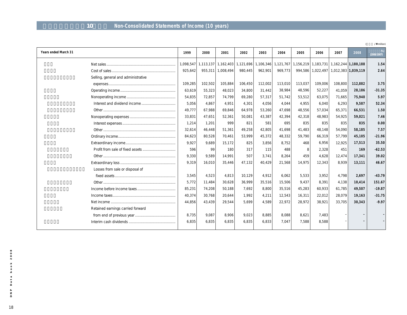## **単体損益計算書(10年間) Non-Consolidated Statements of Income (10 years)**

|                                     |           |         |                   |                                                             |         |         |         |           |                                              |         | /\ million)      |
|-------------------------------------|-----------|---------|-------------------|-------------------------------------------------------------|---------|---------|---------|-----------|----------------------------------------------|---------|------------------|
| Years ended March 31                | 1999      | 2000    | 2001              | 2002                                                        | 2003    | 2004    | 2005    | 2006      | 2007                                         | 2008    | %<br>(2008/2007) |
|                                     | 1,098,547 |         |                   | 1,113,137 1,162,403 1,121,696 1,106,346 1,121,767 1,156,219 |         |         |         | 1,183,731 | 1,162,244 1,180,188                          |         | 1.54             |
|                                     | 925,642   |         | 955,311 1,008,494 | 980,445                                                     | 962,901 | 969,773 | 994,586 |           | $1,022,497$   $1,012,383$   <b>1,039,119</b> |         | 2.64             |
| Selling, general and administrative |           |         |                   |                                                             |         |         |         |           |                                              |         |                  |
|                                     | 109,285   | 102,502 | 105,884           | 106,450                                                     | 112,002 | 113,010 | 113,037 | 109,006   | 108,800                                      | 112,882 | 3.75             |
|                                     | 63,619    | 55,323  | 48,023            | 34,800                                                      | 31,442  | 38,984  | 48,596  | 52,227    | 41,059                                       | 28,186  | $-31.35$         |
|                                     | 54,835    | 72,857  | 74,799            | 69,280                                                      | 57,317  | 51,742  | 53,512  | 63,075    | 71,665                                       | 75,940  | 5.97             |
|                                     | 5,056     | 4,867   | 4.951             | 4,301                                                       | 4,056   | 4.044   | 4,955   | 6,040     | 6,293                                        | 9,587   | 52.34            |
|                                     | 49,777    | 67,988  | 69,846            | 64,978                                                      | 53,260  | 47,698  | 48,556  | 57,034    | 65,371                                       | 66,531  | 1.50             |
|                                     | 33,831    | 47.651  | 52,361            | 50.081                                                      | 43,387  | 42,394  | 42,318  | 48.983    | 54.925                                       | 59,021  | 7.46             |
|                                     | 1,214     | 1,201   | 999               | 821                                                         | 581     | 695     | 835     | 835       | 835                                          | 835     | 0.00             |
|                                     | 32,614    | 46,448  | 51,361            | 49,258                                                      | 42,805  | 41,698  | 41,483  | 48,148    | 54,090                                       | 58,185  | 7.57             |
|                                     | 84,623    | 80,528  | 70,461            | 53,999                                                      | 45,372  | 48,332  | 59,790  | 66,319    | 57,799                                       | 45,105  | $-21.96$         |
|                                     | 9,927     | 9.689   | 15,172            | 825                                                         | 3,856   | 8,752   | 468     | 6.956     | 12,925                                       | 17,513  | 35.50            |
|                                     | 596       | 99      | 180               | 317                                                         | 115     | 488     | 8       | 2,328     | 451                                          | 169     | $-62.53$         |
|                                     | 9,330     | 9,589   | 14,991            | 507                                                         | 3,741   | 8,264   | 459     | 4,628     | 12,474                                       | 17,341  | 39.02            |
|                                     | 9,319     | 16,010  | 35,446            | 47,132                                                      | 40,429  | 21,568  | 14,975  | 12,343    | 8,939                                        | 13,111  | 46.67            |
| Losses from sale or disposal of     |           |         |                   |                                                             |         |         |         |           |                                              |         |                  |
|                                     | 3,545     | 4,523   | 4,813             | 10,129                                                      | 4,912   | 6,062   | 5,533   | 3,952     | 4.798                                        | 2,697   | $-43.79$         |
|                                     | 5,772     | 11,484  | 30,628            | 36,999                                                      | 35,516  | 15,506  | 9,437   | 8,391     | 4,138                                        | 10,414  | 151.67           |
|                                     | 85,231    | 74,208  | 50,188            | 7,692                                                       | 8,800   | 35,516  | 45,283  | 60,933    | 61,785                                       | 49,507  | $-19.87$         |
|                                     | 40,374    | 30,768  | 20,644            | 1.992                                                       | 4,211   | 12,543  | 16,311  | 22,012    | 28,079                                       | 19,163  | $-31.75$         |
|                                     | 44,856    | 43,439  | 29,544            | 5.699                                                       | 4,589   | 22,972  | 28,972  | 38,921    | 33,705                                       | 30,343  | $-9.97$          |
| Retained earnings carried forward   |           |         |                   |                                                             |         |         |         |           |                                              |         |                  |
|                                     | 8,735     | 9,087   | 8,906             | 9,023                                                       | 8,885   | 8,088   | 8,621   | 7.483     |                                              |         |                  |
|                                     | 6,835     | 6.835   | 6.835             | 6.835                                                       | 6.833   | 7.047   | 7.588   | 8.588     |                                              |         |                  |
|                                     |           |         |                   |                                                             |         |         |         |           |                                              |         |                  |

 $2008$ 18**DNP Data book 2008 book** Data D N P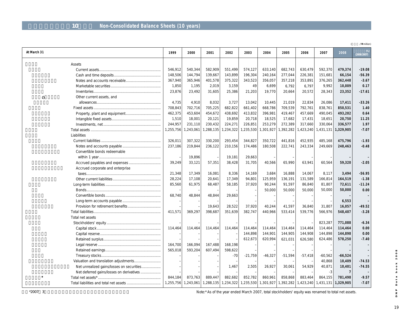## 10 **Non-Consolidated Balance Sheets (10 years)**

|             |                                           |           |           |         |                     |           |           |           |                                                                                 |           |                     | /\ million) |
|-------------|-------------------------------------------|-----------|-----------|---------|---------------------|-----------|-----------|-----------|---------------------------------------------------------------------------------|-----------|---------------------|-------------|
| At March 31 |                                           | 1999      | 2000      | 2001    | 2002                | 2003      | 2004      | 2005      | 2006                                                                            | 2007      | 2008                | (2008/2007) |
|             | Assets                                    |           |           |         |                     |           |           |           |                                                                                 |           |                     |             |
|             |                                           | 546,912   | 540,344   | 582,909 | 551,499             | 574,127   | 633,140   | 682,743   | 630,479                                                                         | 592,370   | 479,374             | $-19.08$    |
|             |                                           | 148,506   | 144,794   | 139,667 | 143,899             | 196,304   | 240,164   | 277,044   | 226,381                                                                         | 151,681   | 66,154              | $-56.39$    |
|             |                                           | 367,940   | 365,946   | 401,578 | 375,322             | 343,523   | 356,057   | 357,218   | 353,891                                                                         | 376,265   | 362,448             | $-3.67$     |
|             |                                           | 1,850     | 1,195     | 2,019   | 3,159               | 49        | 6,699     | 6,792     | 6,797                                                                           | 9,992     | 10,009              | 0.17        |
|             |                                           | 23,876    | 23,492    | 31,605  | 25,386              | 21,203    | 19,770    | 20,664    | 20,572                                                                          | 28,343    | 23,352              | $-17.61$    |
| 0           | Other current assets, and                 |           |           |         |                     |           |           |           |                                                                                 |           |                     |             |
|             |                                           | 4,735     | 4,910     | 8,032   | 3,727               | 13,042    | 10,445    | 21,019    | 22,834                                                                          | 26,086    | 17,411              | $-33.26$    |
|             |                                           | 708,843   | 702,716   | 705,225 | 682,822             | 661,402   | 668,786   | 709,539   | 792,761                                                                         | 838,761   | 850,531             | 1.40        |
|             |                                           | 462,375   | 453,604   | 454,672 | 438,692             | 413,832   | 396,981   | 419,467   | 457,669                                                                         | 490,045   | 493,202             | 0.64        |
|             |                                           | 1,510     | 18,001    | 20,121  | 19,859              | 20,718    | 18,525    | 17,682    | 17,431                                                                          | 18,651    | 20,750              | 11.25       |
|             |                                           | 244,957   | 231,110   | 230,432 | 224,271             | 226,851   | 253,279   | 272,389   | 317,660                                                                         | 330,064   | 336,577             | 1.97        |
|             |                                           | 1,255,756 | 1,243,061 |         | 1,288,135 1,234,322 | 1,235,530 | 1,301,927 | 1,392,282 | 1,423,240                                                                       | 1,431,131 | 1,329,905           | $-7.07$     |
|             | Liabilities                               |           |           |         |                     |           |           |           |                                                                                 |           |                     |             |
|             |                                           | 326,011   | 307,322   | 330,200 | 293,454             | 344,827   | 350,722   | 441,816   | 452,935                                                                         | 485,168   | 475,796             | $-1.93$     |
|             |                                           | 237,186   | 219,844   | 236,122 | 210,156             | 174,486   | 180,508   | 222,741   | 243,334                                                                         | 249,669   | 248,463             | $-0.48$     |
|             | Convertible bonds redeemable              |           |           |         |                     |           |           |           |                                                                                 |           |                     |             |
|             |                                           |           | 19,896    |         | 19,181              | 29,663    |           |           |                                                                                 |           |                     |             |
|             | Accrued payables and expenses             | 39,249    | 33,121    | 57,351  | 38,428              | 31,705    | 40,566    | 65,990    | 63,941                                                                          | 60,564    | 59,320              | $-2.05$     |
|             | Accrued corporate and enterprise          |           |           |         |                     |           |           |           |                                                                                 |           |                     |             |
|             |                                           | 21,348    | 17,349    | 16,081  | 8,336               | 14,169    | 3,684     | 16,888    | 14,067                                                                          | 8,117     | 3,494               | $-56.95$    |
|             |                                           | 28,224    | 17,108    | 20,641  | 17,349              | 94,801    | 125,959   | 136,191   | 131,589                                                                         | 166,814   | 164,519             | $-1.38$     |
|             |                                           | 85,560    | 61,975    | 68,487  | 58,185              | 37,920    | 90,244    | 91,597    | 86,840                                                                          | 81,807    | 72,611              | $-11.24$    |
|             |                                           |           |           |         |                     |           | 50,000    | 50,000    | 50,000                                                                          | 50,000    | 50,000              | 0.00        |
|             |                                           | 68,740    | 48,844    | 48,844  | 29,663              |           |           |           |                                                                                 |           |                     |             |
|             |                                           |           |           |         |                     |           |           |           |                                                                                 |           | 6,553               |             |
|             |                                           |           |           | 19,643  | 28,522              | 37,920    | 40,244    | 41,597    | 36,840                                                                          | 31,807    | 16,057              | $-49.52$    |
|             |                                           | 411,571   | 369,297   | 398,687 | 351,639             | 382,747   | 440,966   | 533,414   | 539,776                                                                         | 566,976   | 548,407             | $-3.28$     |
|             | Total net assets                          |           |           |         |                     |           |           |           |                                                                                 |           |                     |             |
|             |                                           |           |           |         |                     |           |           |           |                                                                                 | 823,287   | 771,088             | $-6.34$     |
|             |                                           | 114,464   | 114.464   | 114,464 | 114,464             | 114,464   | 114,464   | 114,464   | 114,464                                                                         | 114,464   | 114,464             | 0.00        |
|             |                                           |           |           |         |                     | 144,898   | 144,901   | 144,905   | 144,908                                                                         | 144,898   | 144,898             | 0.00        |
|             |                                           |           |           |         |                     | 612,673   | 620,994   | 621,031   | 626,580                                                                         | 624,486   | 578,250             | $-7.40$     |
|             |                                           | 164,700   | 166,094   | 167,488 | 168.198             |           |           |           |                                                                                 |           |                     |             |
|             |                                           | 565,018   | 593,204   | 607,494 | 598,622             |           |           |           |                                                                                 |           |                     |             |
|             |                                           |           |           |         | $-70$               | $-21,759$ | $-46,327$ | $-51,594$ | $-57,418$                                                                       | $-60,562$ | $-66,524$           |             |
|             | Valuation and translation adjustments     |           |           |         |                     |           |           |           |                                                                                 | 40,868    | 10,409              | $-74.53$    |
|             | Net unrealized gains/losses on securities |           |           |         | 1,467               | 2,505     | 26,927    | 30,061    | 54,929                                                                          | 40,871    | 10,401              | $-74.55$    |
|             | Net deferred gains/losses on derivatives  |           |           |         |                     |           |           |           |                                                                                 | $-3$      | $\overline{7}$      |             |
|             |                                           | 844,184   | 873,763   | 889,447 | 882,682             | 852,782   | 860,961   | 858,868   | 883,464                                                                         | 864,155   | 781,498             | $-9.57$     |
|             |                                           |           |           |         |                     |           |           |           | 1,255,756 1,243,061 1,288,135 1,234,322 1,235,530 1,301,927 1,392,282 1,423,240 |           | 1,431,131 1,329,905 | $-7.07$     |

\*2007 3 **3** and the year ended March 2007, total stockholders' equity was renamed to total net assets.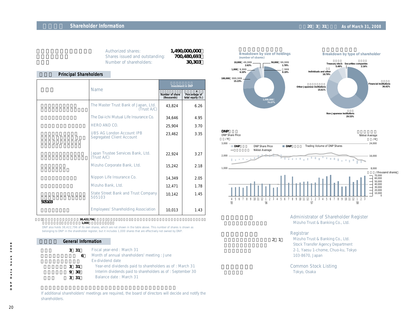### **Shareholder Information EXECUTE: THE INTERNATION CONTRACT AND AS OF MARKET AND AS OF MARKET AND AS OF March 31, 2008**

| 1.490,000,000 | Authorized shares:             |
|---------------|--------------------------------|
| 700,480,693   | Shares issued and outstanding: |
| 30,303        | Number of shareholders:        |

#### **Principal Shareholders**

|        | Name                                                          |        | <b>Investment in DNP</b>          |
|--------|---------------------------------------------------------------|--------|-----------------------------------|
|        |                                                               |        | Percentage of<br>total equity (%) |
|        | The Master Trust Bank of Japan, Ltd.<br>(Trust A/C)           | 43,824 | 6.26                              |
|        | The Dai-ichi Mutual Life Insurance Co.                        | 34,646 | 4.95                              |
|        | HERO AND CO.                                                  | 25,904 | 3.70                              |
|        | <b>UBS AG London Account IPB</b><br>Segregated Client Account | 23,462 | 3.35                              |
|        |                                                               |        |                                   |
|        | Japan Trustee Services Bank, Ltd.<br>(Trust A/C)              | 22,924 | 3.27                              |
|        | Mizuho Corporate Bank, Ltd.                                   | 15,242 | 2.18                              |
|        | Nippon Life Insurance Co.                                     | 14,349 | 2.05                              |
|        | Mizuho Bank, Ltd.                                             | 12,471 | 1.78                              |
|        | <b>State Street Bank and Trust Company</b><br>505103          | 10,142 | 1.45                              |
| 505103 | <b>Employees' Shareholding Association</b>                    | 10,013 | 1.43                              |



**1,000** 

DNP also holds 38,422,796 of its own shares, which are not shown in the table above. This number of shares is shown as belonging to DNP in the shareholder register, but it includes 1,000 shares that are effectively not owned by DNP.

#### **General Information**

| 3 31 | Fiscal year-end: March 31                                  |
|------|------------------------------------------------------------|
|      | Month of annual shareholders' meeting: June                |
|      | Ex-dividend date                                           |
| 3 31 | Year-end dividends paid to shareholders as of: March 31    |
| 9 30 | Interim dividends paid to shareholders as of: September 30 |
| 3 31 | Balance date: March 31                                     |
|      |                                                            |





Administrator of Shareholder Register Mizuho Trust & Banking Co., Ltd.

#### **Registrar**

2 1 Mizuho Trust & Banking Co., Ltd. Stock Transfer Agency Department 2-1, Yaesu 1-chome, Chuo-ku, Tokyo 103-8670, Japan

> Common Stock Listing Tokyo, Osaka

If additional shareholders' meetings are required, the board of directors will decide and notify the shareholders.

 $2008$  $\circ$  $\overline{a}$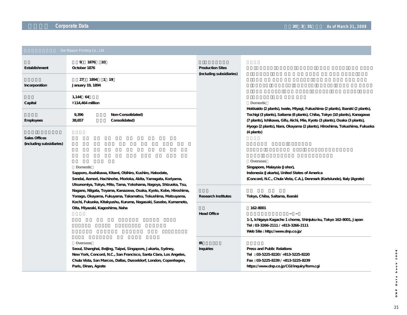|                                                  | Dai Nippon Printing Co., Ltd.                                                                                                                                                                                                                                                                                                                                                                                                                             |                                                     |                                                                                                                                                                                                                                        |  |
|--------------------------------------------------|-----------------------------------------------------------------------------------------------------------------------------------------------------------------------------------------------------------------------------------------------------------------------------------------------------------------------------------------------------------------------------------------------------------------------------------------------------------|-----------------------------------------------------|----------------------------------------------------------------------------------------------------------------------------------------------------------------------------------------------------------------------------------------|--|
| Establishment<br>Incorporation                   | 9 1876<br>10<br>October 1876<br>1894 1 19<br>27<br>January 19, 1894                                                                                                                                                                                                                                                                                                                                                                                       | <b>Production Sites</b><br>(including subsidiaries) |                                                                                                                                                                                                                                        |  |
| Capital                                          | 1,144 64<br>$4114,464$ million                                                                                                                                                                                                                                                                                                                                                                                                                            |                                                     | Domestic<br>Hokkaido (2 plants), Iwate, Miyagi, Fukushima (2 plants), Ibaraki (2 plants),                                                                                                                                              |  |
| Employees                                        | 9,396<br>Non-Consolidated)<br>38,657<br>Consolidated)                                                                                                                                                                                                                                                                                                                                                                                                     |                                                     | Tochigi (3 plants), Saitama (8 plants), Chiba, Tokyo (10 plants), Kanagawa<br>(7 plants), Ishikawa, Gifu, Aichi, Mie, Kyoto (3 plants), Osaka (3 plants),<br>Hyogo (2 plants), Nara, Okayama (2 plants), Hiroshima, Tokushima, Fukuoka |  |
| <b>Sales Offices</b><br>(including subsidiaries) |                                                                                                                                                                                                                                                                                                                                                                                                                                                           |                                                     | (4 plants)                                                                                                                                                                                                                             |  |
|                                                  | <b>Domestic</b><br>Sapporo, Asahikawa, Kitami, Obihiro, Kushiro, Hakodate,<br>Sendai, Aomori, Hachinohe, Morioka, Akita, Yamagata, Koriyama,<br>Utsunomiya, Tokyo, Mito, Tama, Yokohama, Nagoya, Shizuoka, Tsu,<br>Nagano, Niigata, Toyama, Kanazawa, Osaka, Kyoto, Kobe, Hiroshima,<br>Yonago, Okayama, Fukuyama, Takamatsu, Tokushima, Matsuyama,<br>Kochi, Fukuoka, Kitakyushu, Kurume, Nagasaki, Sasebo, Kumamoto,<br>Oita, Miyazaki, Kagoshima, Naha |                                                     | Overseas<br>Singapore, Malaysia (Johor),<br>Indonesia (Jakarta), United States of America<br>(Concord, N.C., Chula Vista, C.A.), Denmark (Karlslunde), Italy (Agrate)                                                                  |  |
|                                                  |                                                                                                                                                                                                                                                                                                                                                                                                                                                           | <b>Research Institutes</b>                          | Tokyo, Chiba, Saitama, Ibaraki                                                                                                                                                                                                         |  |
|                                                  |                                                                                                                                                                                                                                                                                                                                                                                                                                                           | <b>Head Office</b>                                  | 162-8001<br>1-1, Ichigaya Kagacho 1 chome, Shinjuku-ku, Tokyo 162-8001, Japan<br>Tel: 03-3266-2111 / +813-3266-2111<br>Web Site: http://www.dnp.co.jp/                                                                                 |  |
|                                                  | Overseas<br>Seoul, Shanghai, Beijing, Taipei, Singapore, Jakarta, Sydney,<br>New York, Concord, N.C., San Francisco, Santa Clara, Los Angeles,<br>Chula Vista, San Marcos, Dallas, Dusseldorf, London, Copenhagen,<br>Paris, Dinan, Agrate                                                                                                                                                                                                                | IR.<br>Inquiries                                    | Press and Public Relations<br>Tel: 03-5225-8220/+813-5225-8220<br>Fax: 03-5225-8239 / +813-5225-8239<br>https://www.dnp.co.jp/CGI/inquiry/form.cgi                                                                                     |  |

DNP Data book 2008 21**DNP Data book 2008**  $21$